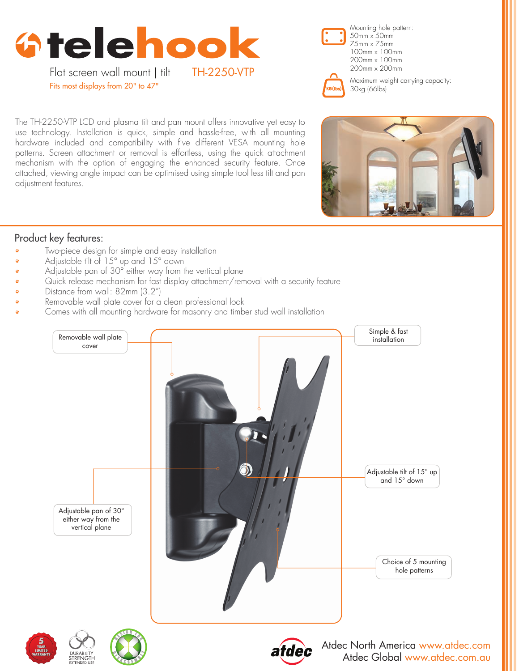



100mm x 100mm 200mm x 100mm



Maximum weight carrying capacity: 30kg (66lbs)

The TH-2250-VTP LCD and plasma tilt and pan mount offers innovative yet easy to use technology. Installation is quick, simple and hassle-free, with all mounting hardware included and compatibility with five different VESA mounting hole patterns. Screen attachment or removal is effortless, using the quick attachment mechanism with the option of engaging the enhanced security feature. Once attached, viewing angle impact can be optimised using simple tool less tilt and pan adjustment features.



## Product key features:

- Two-piece design for simple and easy installation
- Adjustable tilt of 15° up and 15° down
- Adjustable pan of 30° either way from the vertical plane
- Quick release mechanism for fast display attachment/removal with a security feature
- Distance from wall: 82mm (3.2")
- Removable wall plate cover for a clean professional look
- Comes with all mounting hardware for masonry and timber stud wall installation









Atdec North America www.atdec.com Atdec Global www.atdec.com.au